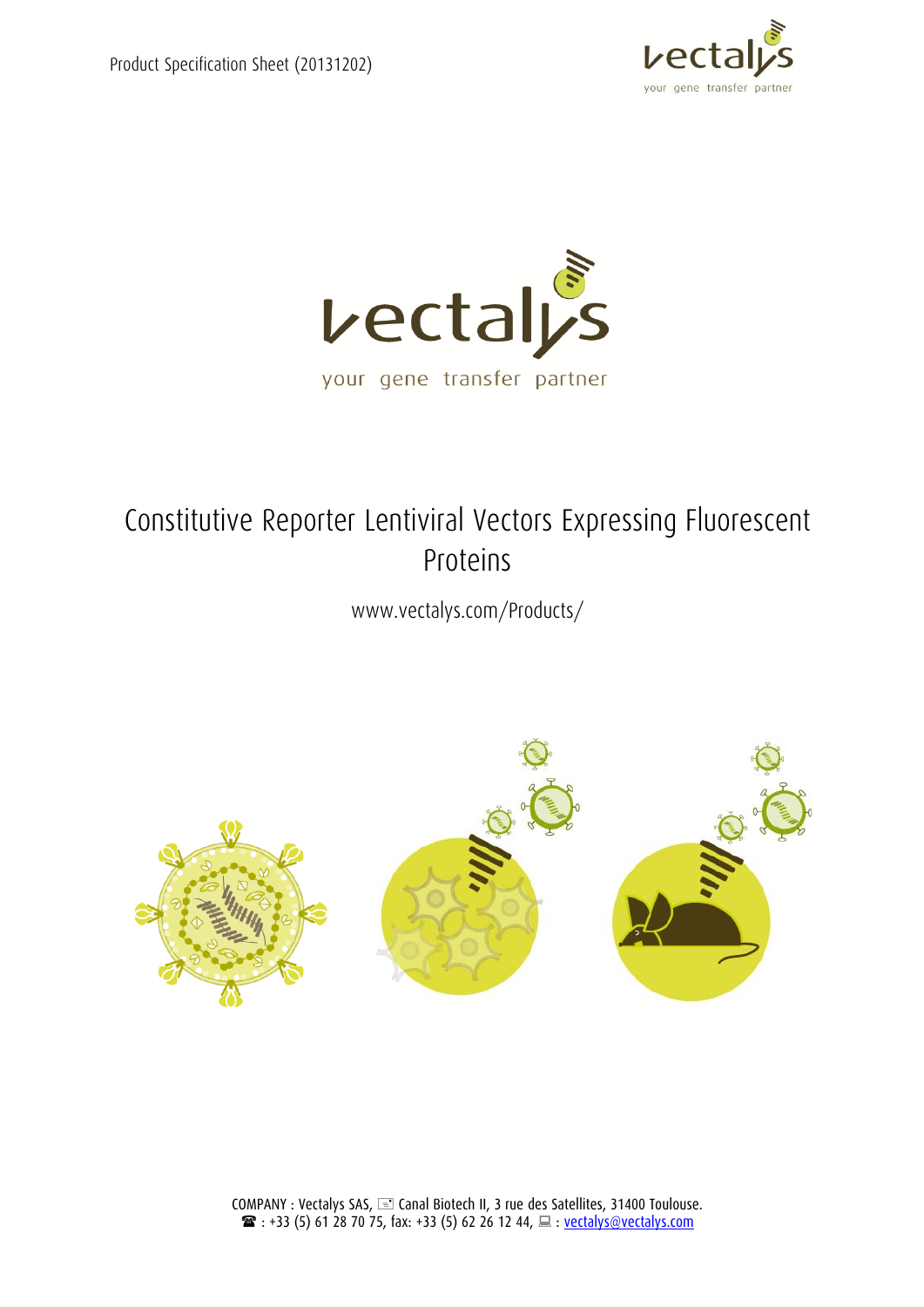



# Constitutive Reporter Lentiviral Vectors Expressing Fluorescent Proteins

www.vectalys.com/Products/

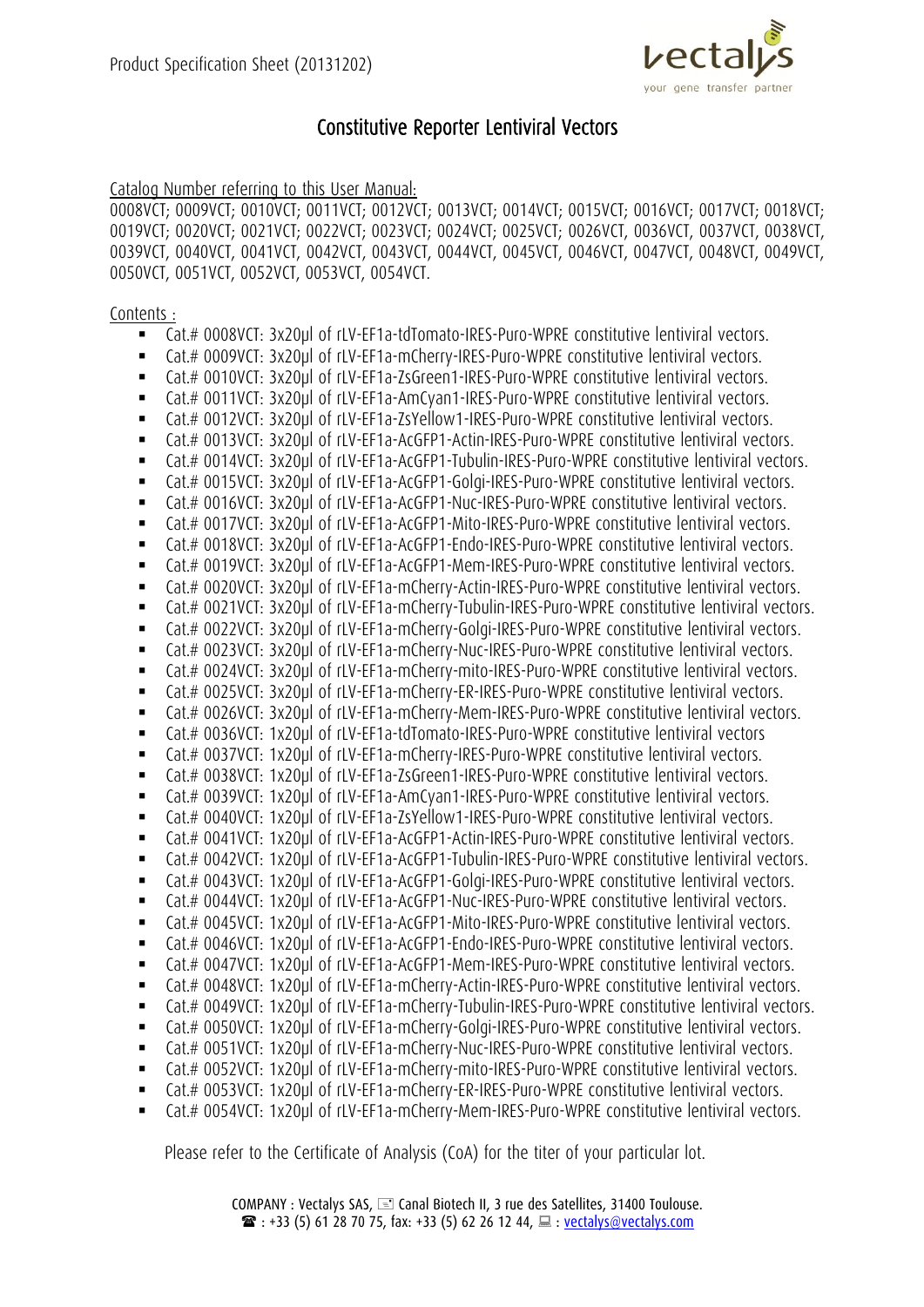

# Constitutive Reporter Lentiviral Vectors

Catalog Number referring to this User Manual:

0008VCT; 0009VCT; 0010VCT; 0011VCT; 0012VCT; 0013VCT; 0014VCT; 0015VCT; 0016VCT; 0017VCT; 0018VCT; 0019VCT; 0020VCT; 0021VCT; 0022VCT; 0023VCT; 0024VCT; 0025VCT; 0026VCT, 0036VCT, 0037VCT, 0038VCT, 0039VCT, 0040VCT, 0041VCT, 0042VCT, 0043VCT, 0044VCT, 0045VCT, 0046VCT, 0047VCT, 0048VCT, 0049VCT, 0050VCT, 0051VCT, 0052VCT, 0053VCT, 0054VCT.

Contents :

- Cat.# 0008VCT: 3x20µl of rLV-EF1a-tdTomato-IRES-Puro-WPRE constitutive lentiviral vectors.
- Cat.# 0009VCT: 3x20µl of rLV-EF1a-mCherry-IRES-Puro-WPRE constitutive lentiviral vectors.
- Cat.# 0010VCT: 3x20µl of rLV-EF1a-ZsGreen1-IRES-Puro-WPRE constitutive lentiviral vectors.
- Cat.# 0011VCT: 3x20µl of rLV-EF1a-AmCyan1-IRES-Puro-WPRE constitutive lentiviral vectors.
- Cat.# 0012VCT: 3x20µl of rLV-EF1a-ZsYellow1-IRES-Puro-WPRE constitutive lentiviral vectors.
- Cat.# 0013VCT: 3x20µl of rLV-EF1a-AcGFP1-Actin-IRES-Puro-WPRE constitutive lentiviral vectors.
- Cat.# 0014VCT: 3x20µl of rLV-EF1a-AcGFP1-Tubulin-IRES-Puro-WPRE constitutive lentiviral vectors.
- Cat.# 0015VCT: 3x20µl of rLV-EF1a-AcGFP1-Golgi-IRES-Puro-WPRE constitutive lentiviral vectors.
- Cat.# 0016VCT: 3x20µl of rLV-EF1a-AcGFP1-Nuc-IRES-Puro-WPRE constitutive lentiviral vectors.
- Cat.# 0017VCT: 3x20µl of rLV-EF1a-AcGFP1-Mito-IRES-Puro-WPRE constitutive lentiviral vectors.
- Cat.# 0018VCT: 3x20µl of rLV-EF1a-AcGFP1-Endo-IRES-Puro-WPRE constitutive lentiviral vectors.
- Cat.# 0019VCT: 3x20µl of rLV-EF1a-AcGFP1-Mem-IRES-Puro-WPRE constitutive lentiviral vectors.
- Cat.# 0020VCT: 3x20µl of rLV-EF1a-mCherry-Actin-IRES-Puro-WPRE constitutive lentiviral vectors.
- Cat.# 0021VCT: 3x20µl of rLV-EF1a-mCherry-Tubulin-IRES-Puro-WPRE constitutive lentiviral vectors.
- Cat.# 0022VCT: 3x20µl of rLV-EF1a-mCherry-Golgi-IRES-Puro-WPRE constitutive lentiviral vectors.
- Cat.# 0023VCT: 3x20µl of rLV-EF1a-mCherry-Nuc-IRES-Puro-WPRE constitutive lentiviral vectors.
- Cat.# 0024VCT: 3x20µl of rLV-EF1a-mCherry-mito-IRES-Puro-WPRE constitutive lentiviral vectors.
- Cat.# 0025VCT: 3x20µl of rLV-EF1a-mCherry-ER-IRES-Puro-WPRE constitutive lentiviral vectors.
- Cat.# 0026VCT: 3x20µl of rLV-EF1a-mCherry-Mem-IRES-Puro-WPRE constitutive lentiviral vectors.
- Cat.# 0036VCT: 1x20µl of rLV-EF1a-tdTomato-IRES-Puro-WPRE constitutive lentiviral vectors
- Cat.# 0037VCT: 1x20µl of rLV-EF1a-mCherry-IRES-Puro-WPRE constitutive lentiviral vectors.
- Cat.# 0038VCT: 1x20µl of rLV-EF1a-ZsGreen1-IRES-Puro-WPRE constitutive lentiviral vectors.
- Cat.# 0039VCT: 1x20µl of rLV-EF1a-AmCyan1-IRES-Puro-WPRE constitutive lentiviral vectors.
- Cat.# 0040VCT: 1x20µl of rLV-EF1a-ZsYellow1-IRES-Puro-WPRE constitutive lentiviral vectors.
- Cat.# 0041VCT: 1x20µl of rLV-EF1a-AcGFP1-Actin-IRES-Puro-WPRE constitutive lentiviral vectors.
- Cat.# 0042VCT: 1x20µl of rLV-EF1a-AcGFP1-Tubulin-IRES-Puro-WPRE constitutive lentiviral vectors.
- Cat.# 0043VCT: 1x20µl of rLV-EF1a-AcGFP1-Golgi-IRES-Puro-WPRE constitutive lentiviral vectors.
- Cat.# 0044VCT: 1x20µl of rLV-EF1a-AcGFP1-Nuc-IRES-Puro-WPRE constitutive lentiviral vectors.
- Cat.# 0045VCT: 1x20µl of rLV-EF1a-AcGFP1-Mito-IRES-Puro-WPRE constitutive lentiviral vectors.
- Cat.# 0046VCT: 1x20ul of rLV-EF1a-AcGFP1-Endo-IRES-Puro-WPRE constitutive lentiviral vectors.
- Cat.# 0047VCT: 1x20µl of rLV-EF1a-AcGFP1-Mem-IRES-Puro-WPRE constitutive lentiviral vectors.
- Cat.# 0048VCT: 1x20µl of rLV-EF1a-mCherry-Actin-IRES-Puro-WPRE constitutive lentiviral vectors.
- Cat.# 0049VCT: 1x20µl of rLV-EF1a-mCherry-Tubulin-IRES-Puro-WPRE constitutive lentiviral vectors.
- Cat.# 0050VCT: 1x20ul of rLV-EF1a-mCherry-Golgi-IRES-Puro-WPRE constitutive lentiviral vectors.
- Cat.# 0051VCT: 1x20ul of rLV-EF1a-mCherry-Nuc-IRES-Puro-WPRE constitutive lentiviral vectors.
- Cat.# 0052VCT: 1x20ul of rLV-EF1a-mCherry-mito-IRES-Puro-WPRE constitutive lentiviral vectors.
- Cat.# 0053VCT: 1x20µl of rLV-EF1a-mCherry-ER-IRES-Puro-WPRE constitutive lentiviral vectors.
- Cat.# 0054VCT: 1x20µl of rLV-EF1a-mCherry-Mem-IRES-Puro-WPRE constitutive lentiviral vectors.

Please refer to the Certificate of Analysis (CoA) for the titer of your particular lot.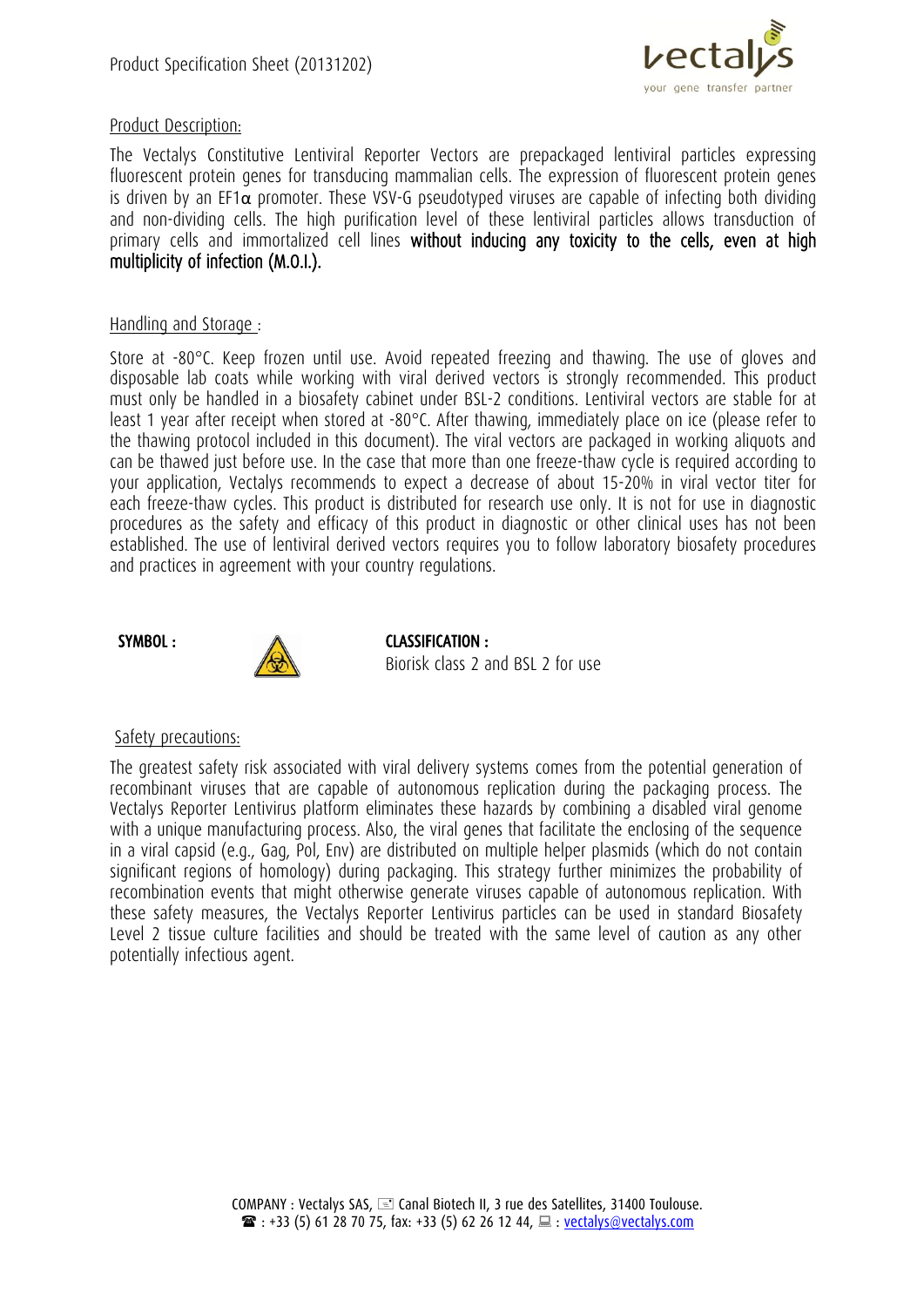

### Product Description:

The Vectalys Constitutive Lentiviral Reporter Vectors are prepackaged lentiviral particles expressing fluorescent protein genes for transducing mammalian cells. The expression of fluorescent protein genes is driven by an EF1 $\alpha$  promoter. These VSV-G pseudotyped viruses are capable of infecting both dividing and non-dividing cells. The high purification level of these lentiviral particles allows transduction of primary cells and immortalized cell lines without inducing any toxicity to the cells, even at high multiplicity of infection (M.O.I.).

#### Handling and Storage :

Store at -80°C. Keep frozen until use. Avoid repeated freezing and thawing. The use of gloves and disposable lab coats while working with viral derived vectors is strongly recommended. This product must only be handled in a biosafety cabinet under BSL-2 conditions. Lentiviral vectors are stable for at least 1 year after receipt when stored at -80°C. After thawing, immediately place on ice (please refer to the thawing protocol included in this document). The viral vectors are packaged in working aliquots and can be thawed just before use. In the case that more than one freeze-thaw cycle is required according to your application, Vectalys recommends to expect a decrease of about 15-20% in viral vector titer for each freeze-thaw cycles. This product is distributed for research use only. It is not for use in diagnostic procedures as the safety and efficacy of this product in diagnostic or other clinical uses has not been established. The use of lentiviral derived vectors requires you to follow laboratory biosafety procedures and practices in agreement with your country regulations.

#### SYMBOL :



CLASSIFICATION : Biorisk class 2 and BSL 2 for use

#### Safety precautions:

The greatest safety risk associated with viral delivery systems comes from the potential generation of recombinant viruses that are capable of autonomous replication during the packaging process. The Vectalys Reporter Lentivirus platform eliminates these hazards by combining a disabled viral genome with a unique manufacturing process. Also, the viral genes that facilitate the enclosing of the sequence in a viral capsid (e.g., Gag, Pol, Env) are distributed on multiple helper plasmids (which do not contain significant regions of homology) during packaging. This strategy further minimizes the probability of recombination events that might otherwise generate viruses capable of autonomous replication. With these safety measures, the Vectalys Reporter Lentivirus particles can be used in standard Biosafety Level 2 tissue culture facilities and should be treated with the same level of caution as any other potentially infectious agent.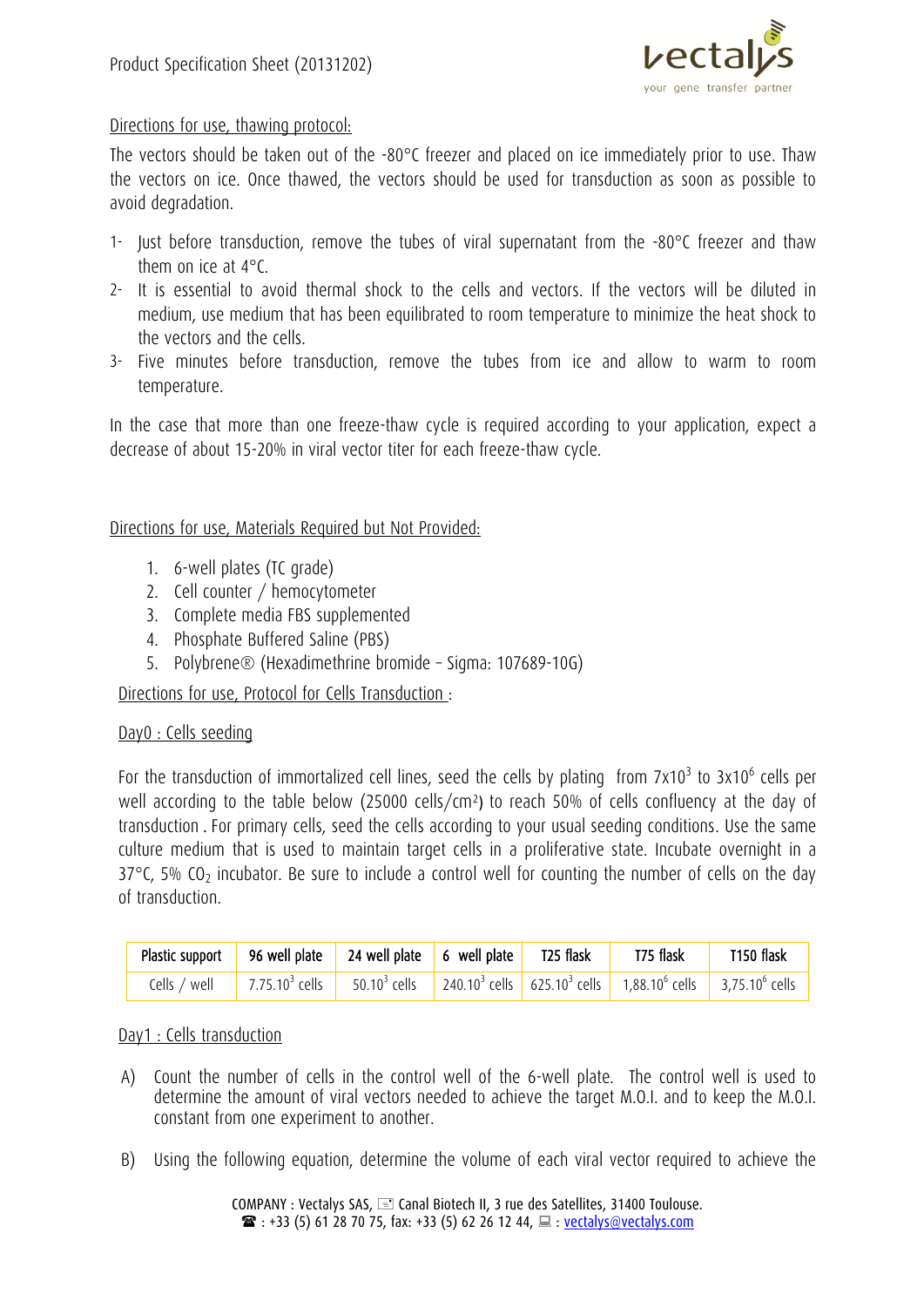

# Directions for use, thawing protocol:

The vectors should be taken out of the -80°C freezer and placed on ice immediately prior to use. Thaw the vectors on ice. Once thawed, the vectors should be used for transduction as soon as possible to avoid degradation.

- 1- Just before transduction, remove the tubes of viral supernatant from the -80°C freezer and thaw them on ice at 4°C.
- 2- It is essential to avoid thermal shock to the cells and vectors. If the vectors will be diluted in medium, use medium that has been equilibrated to room temperature to minimize the heat shock to the vectors and the cells.
- 3- Five minutes before transduction, remove the tubes from ice and allow to warm to room temperature.

In the case that more than one freeze-thaw cycle is required according to your application, expect a decrease of about 15-20% in viral vector titer for each freeze-thaw cycle.

## Directions for use, Materials Required but Not Provided:

- 1. 6-well plates (TC grade)
- 2. Cell counter / hemocytometer
- 3. Complete media FBS supplemented
- 4. Phosphate Buffered Saline (PBS)
- 5. Polybrene® (Hexadimethrine bromide Sigma: 107689-10G)

Directions for use, Protocol for Cells Transduction :

#### Day0 : Cells seeding

For the transduction of immortalized cell lines, seed the cells by plating from 7x10<sup>3</sup> to 3x10<sup>6</sup> cells per well according to the table below (25000 cells/cm²) to reach 50% of cells confluency at the day of transduction . For primary cells, seed the cells according to your usual seeding conditions. Use the same culture medium that is used to maintain target cells in a proliferative state. Incubate overnight in a  $37^{\circ}$ C, 5% CO<sub>2</sub> incubator. Be sure to include a control well for counting the number of cells on the day of transduction.

| Plastic support 96 well plate 24 well plate 6 well plate 725 flask 775 flask |  |  | $\blacksquare$ T150 flask |
|------------------------------------------------------------------------------|--|--|---------------------------|
|                                                                              |  |  |                           |

#### Day1 : Cells transduction

- A) Count the number of cells in the control well of the 6-well plate. The control well is used to determine the amount of viral vectors needed to achieve the target M.O.I. and to keep the M.O.I. constant from one experiment to another.
- B) Using the following equation, determine the volume of each viral vector required to achieve the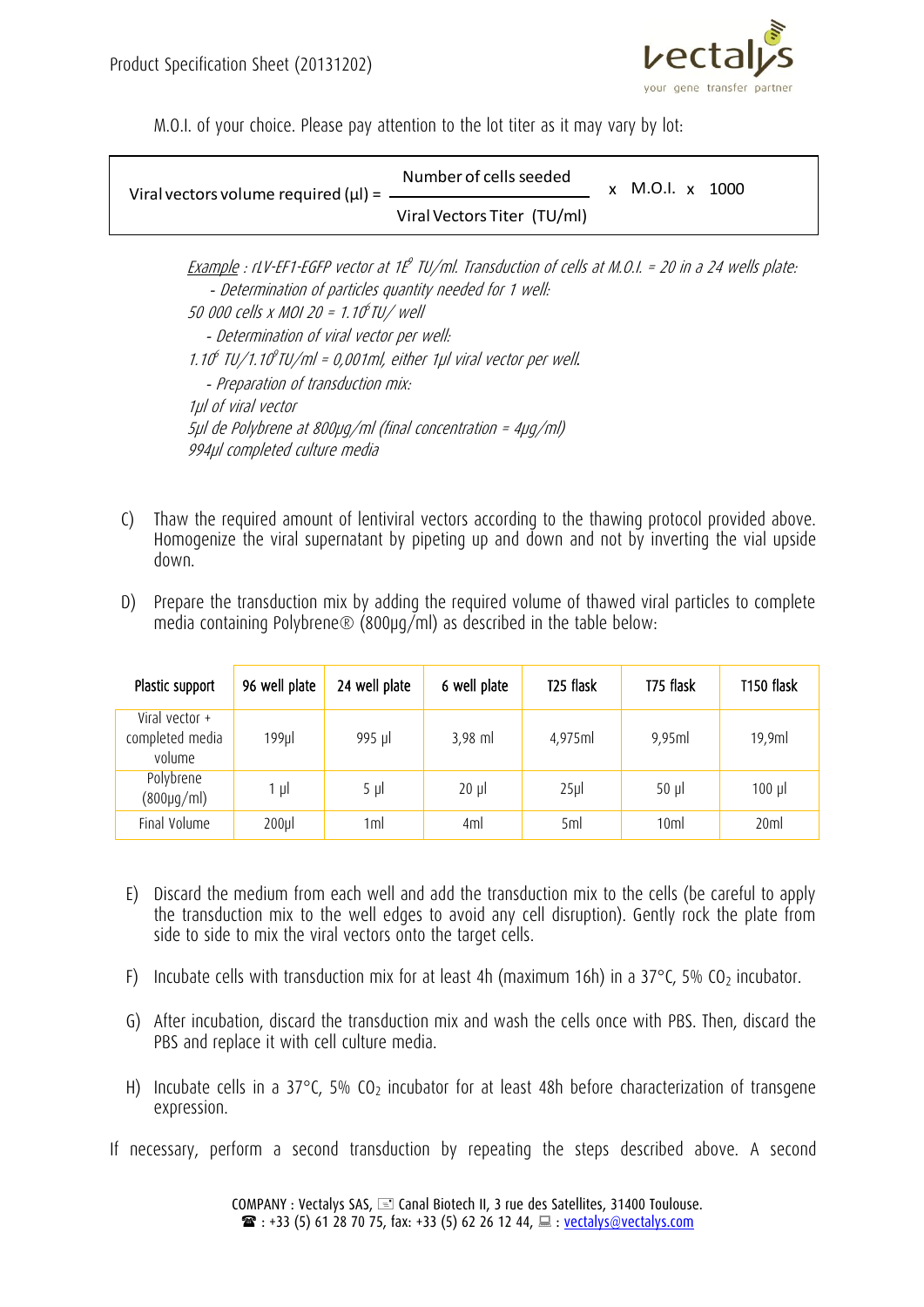

M.O.I. of your choice. Please pay attention to the lot titer as it may vary by lot:

| Viral Vectors Titer (TU/ml) | Viral vectors volume required $(\mu I) =$ _______ | Number of cells seeded | x M.O.I. x 1000 |  |
|-----------------------------|---------------------------------------------------|------------------------|-----------------|--|
|                             |                                                   |                        |                 |  |

Example : rLV-EF1-EGFP vector at 1Eº TU/ml. Transduction of cells at M.O.I. = 20 in a 24 wells plate:  *-* Determination of particles quantity needed for 1 well: 50 000 cells x MOI 20 = 1.10 6 TU/ well  *-* Determination of viral vector per well: 1.10<sup>6</sup> TU/1.10<sup>9</sup>TU/ml = 0,001ml, either 1µl viral vector per well.  *-* Preparation of transduction mix: 1µl of viral vector 5µl de Polybrene at 800µg/ml (final concentration = 4µg/ml) 994µl completed culture media

- C) Thaw the required amount of lentiviral vectors according to the thawing protocol provided above. Homogenize the viral supernatant by pipeting up and down and not by inverting the vial upside down.
- D) Prepare the transduction mix by adding the required volume of thawed viral particles to complete media containing Polybrene® (800µg/ml) as described in the table below:

| Plastic support                             | 96 well plate | 24 well plate | 6 well plate | T <sub>25</sub> flask | T75 flask       | T150 flask |
|---------------------------------------------|---------------|---------------|--------------|-----------------------|-----------------|------------|
| Viral vector +<br>completed media<br>volume | $199$ µ       | 995 µl        | $3,98$ ml    | 4,975ml               | 9,95ml          | 19,9ml     |
| Polybrene<br>$(800 \mu g/ml)$               | 1 µI          | $5 \mu$       | $20 \mu$     | $25$ µ                | $50 \mu$        | $100$ µ    |
| Final Volume                                | $200$ µ       | 1ml           | 4ml          | 5ml                   | 10 <sub>m</sub> | 20ml       |

- E) Discard the medium from each well and add the transduction mix to the cells (be careful to apply the transduction mix to the well edges to avoid any cell disruption). Gently rock the plate from side to side to mix the viral vectors onto the target cells.
- F) Incubate cells with transduction mix for at least 4h (maximum 16h) in a 37 $\degree$ C, 5% CO<sub>2</sub> incubator.
- G) After incubation, discard the transduction mix and wash the cells once with PBS. Then, discard the PBS and replace it with cell culture media.
- H) Incubate cells in a 37 $\degree$ C, 5% CO<sub>2</sub> incubator for at least 48h before characterization of transgene expression.
- If necessary, perform a second transduction by repeating the steps described above. A second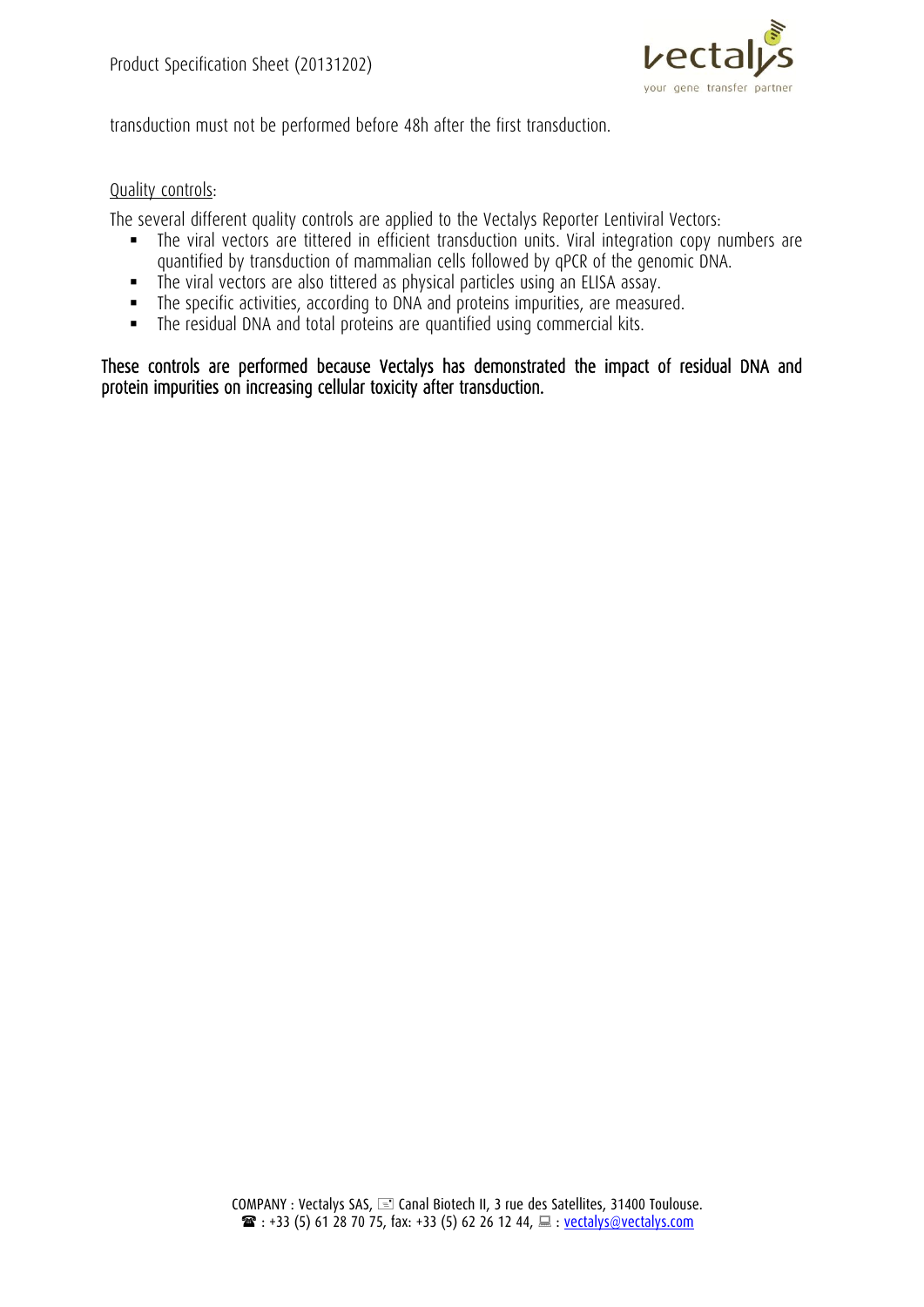

transduction must not be performed before 48h after the first transduction.

## Quality controls:

The several different quality controls are applied to the Vectalys Reporter Lentiviral Vectors:

- The viral vectors are tittered in efficient transduction units. Viral integration copy numbers are quantified by transduction of mammalian cells followed by qPCR of the genomic DNA.
- The viral vectors are also tittered as physical particles using an ELISA assay.
- The specific activities, according to DNA and proteins impurities, are measured.
- The residual DNA and total proteins are quantified using commercial kits.

These controls are performed because Vectalys has demonstrated the impact of residual DNA and protein impurities on increasing cellular toxicity after transduction.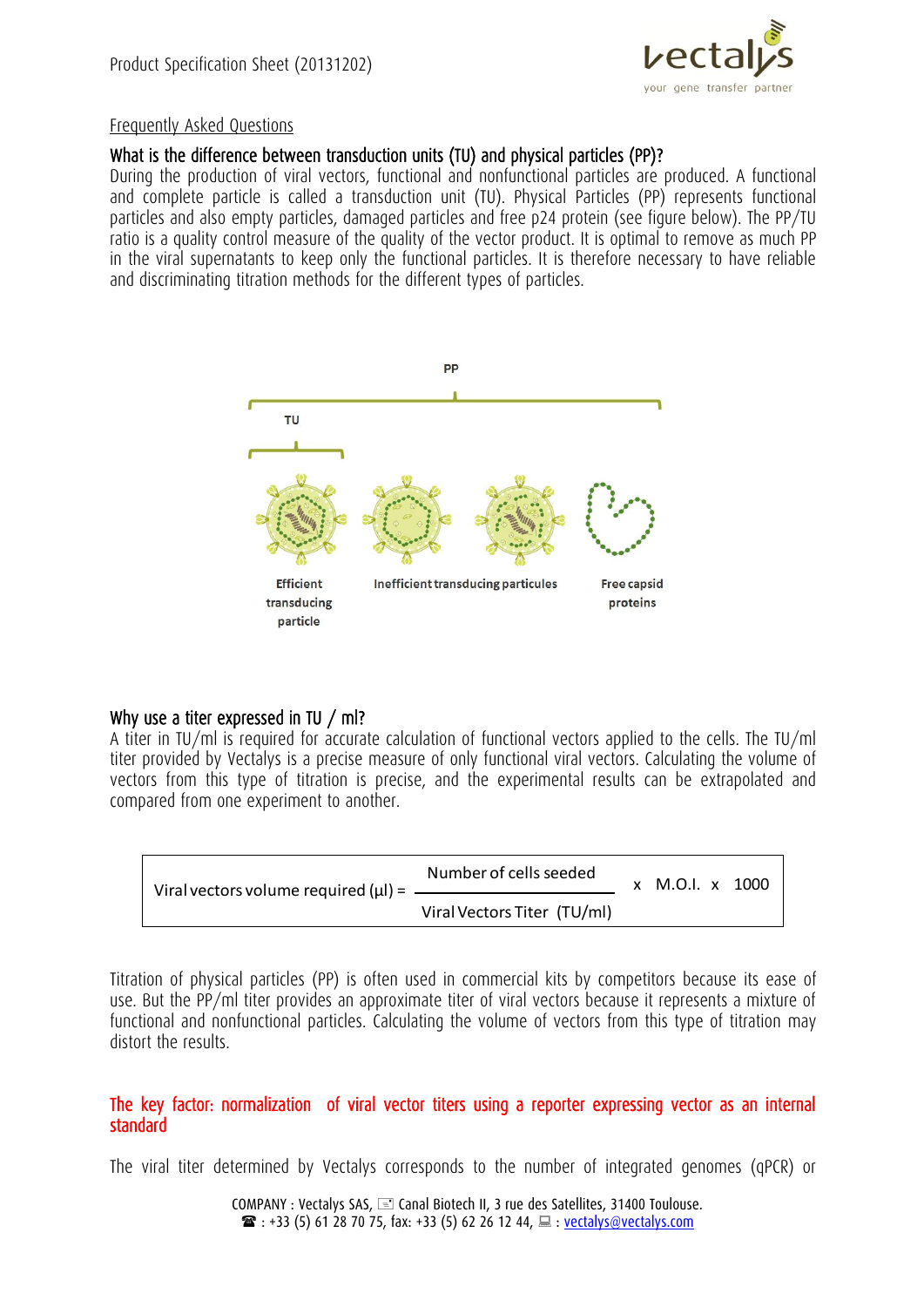

#### Frequently Asked Questions

# What is the difference between transduction units (TU) and physical particles (PP)?

During the production of viral vectors, functional and nonfunctional particles are produced. A functional and complete particle is called a transduction unit (TU). Physical Particles (PP) represents functional particles and also empty particles, damaged particles and free p24 protein (see figure below). The PP/TU ratio is a quality control measure of the quality of the vector product. It is optimal to remove as much PP in the viral supernatants to keep only the functional particles. It is therefore necessary to have reliable and discriminating titration methods for the different types of particles.



# Why use a titer expressed in TU / ml?

A titer in TU/ml is required for accurate calculation of functional vectors applied to the cells. The TU/ml titer provided by Vectalys is a precise measure of only functional viral vectors. Calculating the volume of vectors from this type of titration is precise, and the experimental results can be extrapolated and compared from one experiment to another.



Titration of physical particles (PP) is often used in commercial kits by competitors because its ease of use. But the PP/ml titer provides an approximate titer of viral vectors because it represents a mixture of functional and nonfunctional particles. Calculating the volume of vectors from this type of titration may distort the results.

#### The key factor: normalization of viral vector titers using a reporter expressing vector as an internal standard

The viral titer determined by Vectalys corresponds to the number of integrated genomes (qPCR) or

COMPANY : Vectalys SAS,  $\equiv$  Canal Biotech II, 3 rue des Satellites, 31400 Toulouse.  $\mathbf{B}$  : +33 (5) 61 28 70 75, fax: +33 (5) 62 26 12 44,  $\Box$  : <u>vectalys@vectalys.com</u>